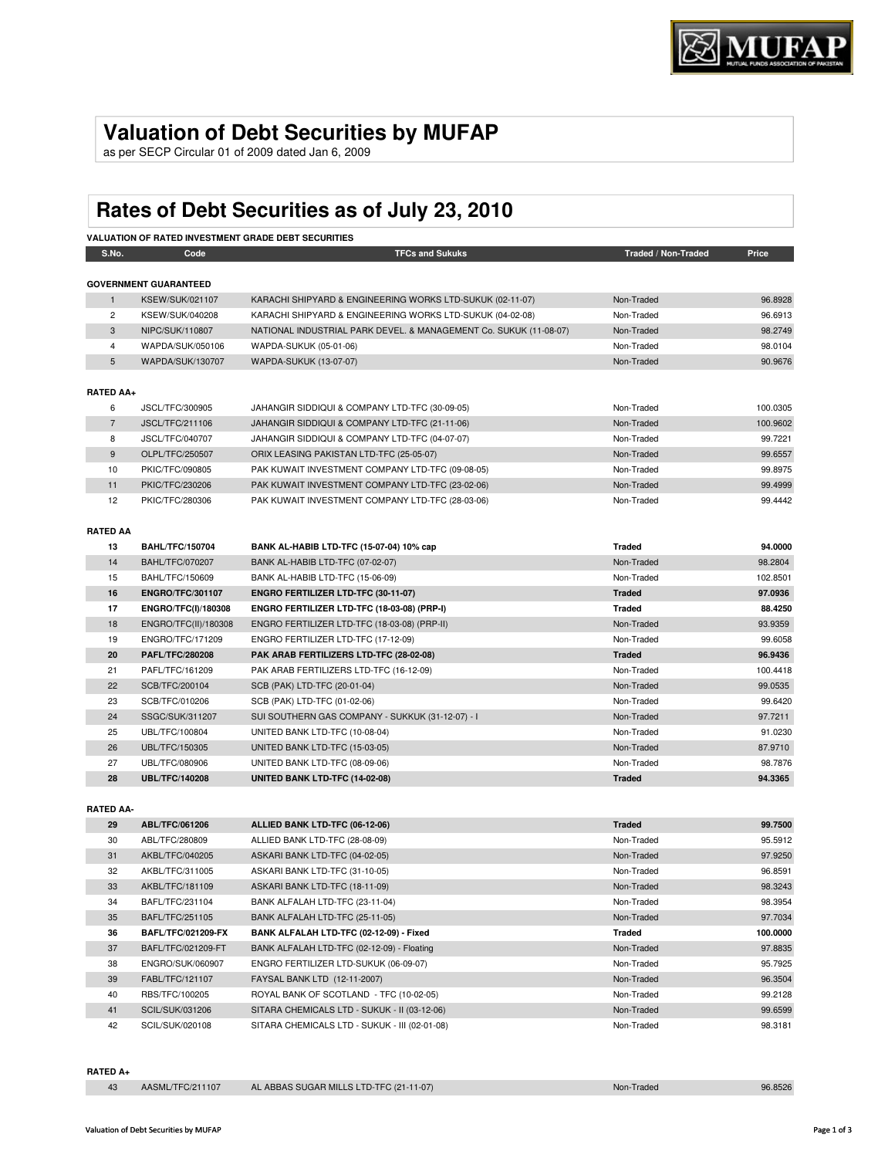## **Valuation of Debt Securities by MUFAP**

as per SECP Circular 01 of 2009 dated Jan 6, 2009

# **Rates of Debt Securities as of July 23, 2010**

| S.No.                  | Code                         | <b>TFCs and Sukuks</b>                                            | Traded / Non-Traded | Price    |
|------------------------|------------------------------|-------------------------------------------------------------------|---------------------|----------|
|                        |                              |                                                                   |                     |          |
|                        | <b>GOVERNMENT GUARANTEED</b> |                                                                   |                     |          |
| $\mathbf{1}$           | KSEW/SUK/021107              | KARACHI SHIPYARD & ENGINEERING WORKS LTD-SUKUK (02-11-07)         | Non-Traded          | 96.8928  |
| 2                      | KSEW/SUK/040208              | KARACHI SHIPYARD & ENGINEERING WORKS LTD-SUKUK (04-02-08)         | Non-Traded          | 96.6913  |
| 3                      | NIPC/SUK/110807              | NATIONAL INDUSTRIAL PARK DEVEL. & MANAGEMENT Co. SUKUK (11-08-07) | Non-Traded          | 98.2749  |
| 4                      | WAPDA/SUK/050106             | WAPDA-SUKUK (05-01-06)                                            | Non-Traded          | 98.0104  |
| 5                      | WAPDA/SUK/130707             | WAPDA-SUKUK (13-07-07)                                            | Non-Traded          | 90.9676  |
| <b>RATED AA+</b>       |                              |                                                                   |                     |          |
| 6                      | JSCL/TFC/300905              | JAHANGIR SIDDIQUI & COMPANY LTD-TFC (30-09-05)                    | Non-Traded          | 100.0305 |
| $\overline{7}$         | JSCL/TFC/211106              | JAHANGIR SIDDIQUI & COMPANY LTD-TFC (21-11-06)                    | Non-Traded          | 100.9602 |
| 8                      | JSCL/TFC/040707              | JAHANGIR SIDDIQUI & COMPANY LTD-TFC (04-07-07)                    | Non-Traded          | 99.7221  |
| 9                      | OLPL/TFC/250507              | ORIX LEASING PAKISTAN LTD-TFC (25-05-07)                          | Non-Traded          | 99.6557  |
| 10                     | PKIC/TFC/090805              | PAK KUWAIT INVESTMENT COMPANY LTD-TFC (09-08-05)                  | Non-Traded          | 99.8975  |
| 11                     | PKIC/TFC/230206              | PAK KUWAIT INVESTMENT COMPANY LTD-TFC (23-02-06)                  | Non-Traded          | 99.4999  |
| 12                     | PKIC/TFC/280306              | PAK KUWAIT INVESTMENT COMPANY LTD-TFC (28-03-06)                  | Non-Traded          | 99.4442  |
|                        |                              |                                                                   |                     |          |
| <b>RATED AA</b><br>13  | <b>BAHL/TFC/150704</b>       | BANK AL-HABIB LTD-TFC (15-07-04) 10% cap                          | <b>Traded</b>       | 94.0000  |
| 14                     | <b>BAHL/TFC/070207</b>       | BANK AL-HABIB LTD-TFC (07-02-07)                                  | Non-Traded          | 98.2804  |
| 15                     | BAHL/TFC/150609              | BANK AL-HABIB LTD-TFC (15-06-09)                                  | Non-Traded          | 102.8501 |
| 16                     | <b>ENGRO/TFC/301107</b>      | ENGRO FERTILIZER LTD-TFC (30-11-07)                               | <b>Traded</b>       | 97.0936  |
| 17                     | <b>ENGRO/TFC(I)/180308</b>   | ENGRO FERTILIZER LTD-TFC (18-03-08) (PRP-I)                       | <b>Traded</b>       | 88.4250  |
| 18                     | ENGRO/TFC(II)/180308         | ENGRO FERTILIZER LTD-TFC (18-03-08) (PRP-II)                      | Non-Traded          | 93.9359  |
| 19                     | ENGRO/TFC/171209             | ENGRO FERTILIZER LTD-TFC (17-12-09)                               | Non-Traded          | 99.6058  |
| 20                     | <b>PAFL/TFC/280208</b>       | PAK ARAB FERTILIZERS LTD-TFC (28-02-08)                           | <b>Traded</b>       | 96.9436  |
| 21                     | PAFL/TFC/161209              | PAK ARAB FERTILIZERS LTD-TFC (16-12-09)                           | Non-Traded          | 100.4418 |
| 22                     | SCB/TFC/200104               | SCB (PAK) LTD-TFC (20-01-04)                                      | Non-Traded          | 99.0535  |
| 23                     | SCB/TFC/010206               | SCB (PAK) LTD-TFC (01-02-06)                                      | Non-Traded          | 99.6420  |
| 24                     | SSGC/SUK/311207              | SUI SOUTHERN GAS COMPANY - SUKKUK (31-12-07) - I                  | Non-Traded          | 97.7211  |
| 25                     | UBL/TFC/100804               | UNITED BANK LTD-TFC (10-08-04)                                    | Non-Traded          | 91.0230  |
| 26                     | UBL/TFC/150305               | UNITED BANK LTD-TFC (15-03-05)                                    | Non-Traded          | 87.9710  |
| 27                     | UBL/TFC/080906               | UNITED BANK LTD-TFC (08-09-06)                                    | Non-Traded          | 98.7876  |
| 28                     | <b>UBL/TFC/140208</b>        | UNITED BANK LTD-TFC (14-02-08)                                    | <b>Traded</b>       | 94.3365  |
|                        |                              |                                                                   |                     |          |
|                        |                              |                                                                   |                     |          |
| <b>RATED AA-</b><br>29 | ABL/TFC/061206               | ALLIED BANK LTD-TFC (06-12-06)                                    | <b>Traded</b>       | 99.7500  |

| 29 | <b>ABL/TFC/061206</b>     | ALLIED BANK LTD-TFC (06-12-06)               | <b>Traded</b> | 99.7500  |
|----|---------------------------|----------------------------------------------|---------------|----------|
| 30 | ABL/TFC/280809            | ALLIED BANK LTD-TFC (28-08-09)               | Non-Traded    | 95.5912  |
| 31 | AKBL/TFC/040205           | ASKARI BANK LTD-TFC (04-02-05)               | Non-Traded    | 97.9250  |
| 32 | AKBL/TFC/311005           | ASKARI BANK LTD-TFC (31-10-05)               | Non-Traded    | 96.8591  |
| 33 | AKBL/TFC/181109           | ASKARI BANK LTD-TFC (18-11-09)               | Non-Traded    | 98.3243  |
| 34 | BAFL/TFC/231104           | BANK ALFALAH LTD-TFC (23-11-04)              | Non-Traded    | 98.3954  |
| 35 | BAFL/TFC/251105           | BANK ALFALAH LTD-TFC (25-11-05)              | Non-Traded    | 97.7034  |
|    |                           |                                              |               |          |
| 36 | <b>BAFL/TFC/021209-FX</b> | BANK ALFALAH LTD-TFC (02-12-09) - Fixed      | Traded        | 100.0000 |
| 37 | BAFL/TFC/021209-FT        | BANK ALFALAH LTD-TFC (02-12-09) - Floating   | Non-Traded    | 97.8835  |
| 38 | ENGRO/SUK/060907          | ENGRO FERTILIZER LTD-SUKUK (06-09-07)        | Non-Traded    | 95.7925  |
| 39 | FABL/TFC/121107           | FAYSAL BANK LTD (12-11-2007)                 | Non-Traded    | 96.3504  |
| 40 | RBS/TFC/100205            | ROYAL BANK OF SCOTLAND - TFC (10-02-05)      | Non-Traded    | 99.2128  |
| 41 | SCIL/SUK/031206           | SITARA CHEMICALS LTD - SUKUK - II (03-12-06) | Non-Traded    | 99.6599  |

#### **RATED A+**

|  | AASML/TFC/211107 | AL ABBAS SUGAR MILLS LTD-TFC (21-11-07) | Non-Traded | 96.8526 |
|--|------------------|-----------------------------------------|------------|---------|
|--|------------------|-----------------------------------------|------------|---------|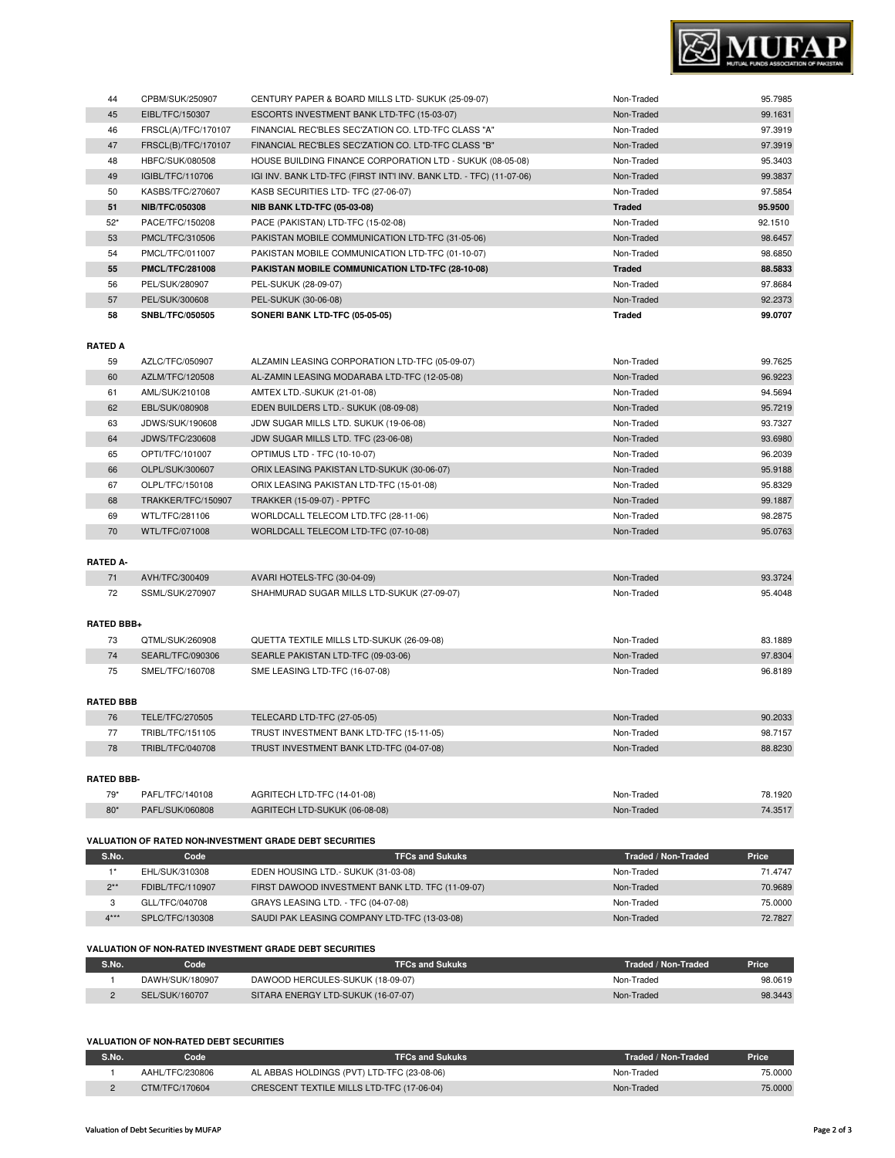#### **VALUATION OF NON-RATED DEBT SECURITIES**

**VALUATION OF NON-RATED INVESTMENT GRADE DEBT SECURITIES**

| S.No. | Code            | <b>TFCs and Sukuks</b>                     | Traded / Non-Traded | <b>Price</b> |
|-------|-----------------|--------------------------------------------|---------------------|--------------|
|       | AAHL/TFC/230806 | AL ABBAS HOLDINGS (PVT) LTD-TFC (23-08-06) | Non-Traded          | 75,0000      |
|       | CTM/TFC/170604  | CRESCENT TEXTILE MILLS LTD-TFC (17-06-04)  | Non-Traded          | 75,0000      |

**S.No. Code TFCs and Sukuks Traded / Non-Traded Price** 1 DAWH/SUK/180907 DAWOOD HERCULES-SUKUK (18-09-07) Non-Traded Non-Traded 98.0619 2 SEL/SUK/160707 SITARA ENERGY LTD-SUKUK (16-07-07) Non-Traded Non-Traded 98.3443

#### 2\*\* FDIBL/TFC/110907 FIRST DAWOOD INVESTMENT BANK LTD. TFC (11-09-07) Non-Traded Non-Traded 70.9689 3 GLL/TFC/040708 GRAYS LEASING LTD. - TFC (04-07-08) CHANGER CONSIDERING MON-Traded 75.0000 4\*\*\* SPLC/TFC/130308 SAUDI PAK LEASING COMPANY LTD-TFC (13-03-08) Non-Traded Non-Traded 72.7827

| <b>RATED BBB-</b>                                              |                 |                               |                        |                     |         |
|----------------------------------------------------------------|-----------------|-------------------------------|------------------------|---------------------|---------|
| $79*$                                                          | PAFL/TFC/140108 | AGRITECH LTD-TFC (14-01-08)   |                        | Non-Traded          | 78.1920 |
| $80*$                                                          | PAFL/SUK/060808 | AGRITECH LTD-SUKUK (06-08-08) |                        | Non-Traded          | 74.3517 |
|                                                                |                 |                               |                        |                     |         |
| <b>VALUATION OF RATED NON-INVESTMENT GRADE DEBT SECURITIES</b> |                 |                               |                        |                     |         |
| S.No.                                                          | Code            |                               | <b>TFCs and Sukuks</b> | Traded / Non-Traded | Price   |

1\* EHL/SUK/310308 EDEN HOUSING LTD.- SUKUK (31-03-08) Non-Traded Non-Traded 71.4747

78 TRIBL/TFC/040708 TRUST INVESTMENT BANK LTD-TFC (04-07-08) Non-Traded Non-Traded 88.8230

### 75 SMEL/TFC/160708 SME LEASING LTD-TFC (16-07-08) Non-Traded Non-Traded 96.8189 **RATED BBB** 76 TELE/TFC/270505 TELECARD LTD-TFC (27-05-05) Non-Traded 90.2033 77 TRIBL/TFC/151105 TRUST INVESTMENT BANK LTD-TFC (15-11-05) Non-Traded Non-Traded 98.7157

| 72 | SSML/SUK/270907   | SHAHMURAD SUGAR MILLS LTD-SUKUK (27-09-07) | Non-Traded | 95.4048 |  |  |  |
|----|-------------------|--------------------------------------------|------------|---------|--|--|--|
|    | <b>RATED BBB+</b> |                                            |            |         |  |  |  |
| 73 | QTML/SUK/260908   | QUETTA TEXTILE MILLS LTD-SUKUK (26-09-08)  | Non-Traded | 83.1889 |  |  |  |
| 74 | SEARL/TFC/090306  | SEARLE PAKISTAN LTD-TFC (09-03-06)         | Non-Traded | 97.8304 |  |  |  |
|    |                   |                                            |            |         |  |  |  |

| 69       | WTL/TFC/281106 | WORLDCALL TELECOM LTD.TFC (28-11-06) | Non-Traded | 98.2875 |  |
|----------|----------------|--------------------------------------|------------|---------|--|
| 70       | WTL/TFC/071008 | WORLDCALL TELECOM LTD-TFC (07-10-08) | Non-Traded | 95.0763 |  |
|          |                |                                      |            |         |  |
| RATED A- |                |                                      |            |         |  |
| 71       | AVH/TFC/300409 | AVARI HOTELS-TFC (30-04-09)          | Non-Traded | 93.3724 |  |

| RATED A |                        |                                                                                    |                   |         |
|---------|------------------------|------------------------------------------------------------------------------------|-------------------|---------|
| 59      | AZLC/TFC/050907        | ALZAMIN LEASING CORPORATION LTD-TFC (05-09-07)                                     | Non-Traded        | 99.7625 |
| 60      | AZLM/TFC/120508        | AL-ZAMIN LEASING MODARABA LTD-TFC (12-05-08)                                       | Non-Traded        | 96.9223 |
| 61      | AML/SUK/210108         | AMTEX LTD.-SUKUK (21-01-08)                                                        | Non-Traded        | 94.5694 |
| 62      | EBL/SUK/080908         | EDEN BUILDERS LTD. - SUKUK (08-09-08)                                              | Non-Traded        | 95.7219 |
| 63      | JDWS/SUK/190608        | JDW SUGAR MILLS LTD. SUKUK (19-06-08)                                              | Non-Traded        | 93.7327 |
| 64      | <b>JDWS/TFC/230608</b> | JDW SUGAR MILLS LTD. TFC (23-06-08)                                                | Non-Traded        | 93.6980 |
| 65      | OPTI/TFC/101007        | OPTIMUS LTD - TFC (10-10-07)                                                       | Non-Traded        | 96.2039 |
| 66      | OLPL/SUK/300607        | ORIX LEASING PAKISTAN LTD-SUKUK (30-06-07)                                         | Non-Traded        | 95.9188 |
| 67      | OLPL/TFC/150108        | ORIX LEASING PAKISTAN LTD-TFC (15-01-08)                                           | Non-Traded        | 95.8329 |
| 68      | TRAKKER/TFC/150907     | TRAKKER (15-09-07) - PPTFC                                                         | Non-Traded        | 99.1887 |
| $\sim$  |                        | $\mathbf{H}(\mathbf{C} \mathbf{D}) = \mathbf{C}(\mathbf{C} \mathbf{C} \mathbf{C})$ | $\cdots$ $\cdots$ | 000000  |

#### **RATED A**

| 44    | CPBM/SUK/250907        | CENTURY PAPER & BOARD MILLS LTD- SUKUK (25-09-07)                   | Non-Traded    | 95.7985 |
|-------|------------------------|---------------------------------------------------------------------|---------------|---------|
| 45    | EIBL/TFC/150307        | ESCORTS INVESTMENT BANK LTD-TFC (15-03-07)                          | Non-Traded    | 99.1631 |
| 46    | FRSCL(A)/TFC/170107    | FINANCIAL REC'BLES SEC'ZATION CO. LTD-TFC CLASS "A"                 | Non-Traded    | 97.3919 |
| 47    | FRSCL(B)/TFC/170107    | FINANCIAL REC'BLES SEC'ZATION CO. LTD-TFC CLASS "B"                 | Non-Traded    | 97.3919 |
| 48    | HBFC/SUK/080508        | HOUSE BUILDING FINANCE CORPORATION LTD - SUKUK (08-05-08)           | Non-Traded    | 95.3403 |
| 49    | IGIBL/TFC/110706       | IGI INV. BANK LTD-TFC (FIRST INT'I INV. BANK LTD. - TFC) (11-07-06) | Non-Traded    | 99.3837 |
| 50    | KASBS/TFC/270607       | KASB SECURITIES LTD- TFC (27-06-07)                                 | Non-Traded    | 97.5854 |
| 51    | <b>NIB/TFC/050308</b>  | <b>NIB BANK LTD-TFC (05-03-08)</b>                                  | <b>Traded</b> | 95.9500 |
| $52*$ | PACE/TFC/150208        | PACE (PAKISTAN) LTD-TFC (15-02-08)                                  | Non-Traded    | 92.1510 |
| 53    | PMCL/TFC/310506        | PAKISTAN MOBILE COMMUNICATION LTD-TFC (31-05-06)                    | Non-Traded    | 98.6457 |
| 54    | PMCL/TFC/011007        | PAKISTAN MOBILE COMMUNICATION LTD-TFC (01-10-07)                    | Non-Traded    | 98.6850 |
| 55    | <b>PMCL/TFC/281008</b> | PAKISTAN MOBILE COMMUNICATION LTD-TFC (28-10-08)                    | <b>Traded</b> | 88.5833 |
| 56    | PEL/SUK/280907         | PEL-SUKUK (28-09-07)                                                | Non-Traded    | 97.8684 |
| 57    | PEL/SUK/300608         | PEL-SUKUK (30-06-08)                                                | Non-Traded    | 92.2373 |
| 58    | <b>SNBL/TFC/050505</b> | SONERI BANK LTD-TFC (05-05-05)                                      | <b>Traded</b> | 99.0707 |